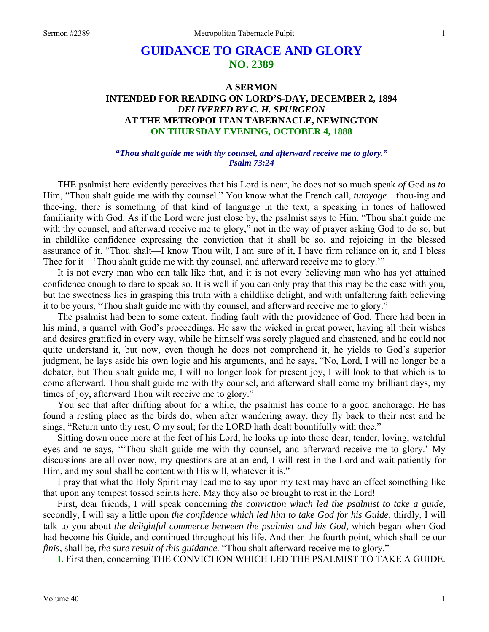# **GUIDANCE TO GRACE AND GLORY NO. 2389**

# **A SERMON INTENDED FOR READING ON LORD'S-DAY, DECEMBER 2, 1894**  *DELIVERED BY C. H. SPURGEON*  **AT THE METROPOLITAN TABERNACLE, NEWINGTON ON THURSDAY EVENING, OCTOBER 4, 1888**

#### *"Thou shalt guide me with thy counsel, and afterward receive me to glory." Psalm 73:24*

THE psalmist here evidently perceives that his Lord is near, he does not so much speak *of* God as *to*  Him, "Thou shalt guide me with thy counsel." You know what the French call, *tutoyage*—thou-ing and thee-ing, there is something of that kind of language in the text, a speaking in tones of hallowed familiarity with God. As if the Lord were just close by, the psalmist says to Him, "Thou shalt guide me with thy counsel, and afterward receive me to glory," not in the way of prayer asking God to do so, but in childlike confidence expressing the conviction that it shall be so, and rejoicing in the blessed assurance of it. "Thou shalt—I know Thou wilt, I am sure of it, I have firm reliance on it, and I bless Thee for it—'Thou shalt guide me with thy counsel, and afterward receive me to glory.'"

It is not every man who can talk like that, and it is not every believing man who has yet attained confidence enough to dare to speak so. It is well if you can only pray that this may be the case with you, but the sweetness lies in grasping this truth with a childlike delight, and with unfaltering faith believing it to be yours, "Thou shalt guide me with thy counsel, and afterward receive me to glory."

The psalmist had been to some extent, finding fault with the providence of God. There had been in his mind, a quarrel with God's proceedings. He saw the wicked in great power, having all their wishes and desires gratified in every way, while he himself was sorely plagued and chastened, and he could not quite understand it, but now, even though he does not comprehend it, he yields to God's superior judgment, he lays aside his own logic and his arguments, and he says, "No, Lord, I will no longer be a debater, but Thou shalt guide me, I will no longer look for present joy, I will look to that which is to come afterward. Thou shalt guide me with thy counsel, and afterward shall come my brilliant days, my times of joy, afterward Thou wilt receive me to glory."

You see that after drifting about for a while, the psalmist has come to a good anchorage. He has found a resting place as the birds do, when after wandering away, they fly back to their nest and he sings, "Return unto thy rest, O my soul; for the LORD hath dealt bountifully with thee."

Sitting down once more at the feet of his Lord, he looks up into those dear, tender, loving, watchful eyes and he says, '"Thou shalt guide me with thy counsel, and afterward receive me to glory.' My discussions are all over now, my questions are at an end, I will rest in the Lord and wait patiently for Him, and my soul shall be content with His will, whatever it is."

I pray that what the Holy Spirit may lead me to say upon my text may have an effect something like that upon any tempest tossed spirits here. May they also be brought to rest in the Lord!

First, dear friends, I will speak concerning *the conviction which led the psalmist to take a guide,* secondly, I will say a little upon *the confidence which led him to take God for his Guide,* thirdly, I will talk to you about *the delightful commerce between the psalmist and his God,* which began when God had become his Guide, and continued throughout his life. And then the fourth point, which shall be our *finis,* shall be, *the sure result of this guidance.* "Thou shalt afterward receive me to glory."

**I.** First then, concerning THE CONVICTION WHICH LED THE PSALMIST TO TAKE A GUIDE.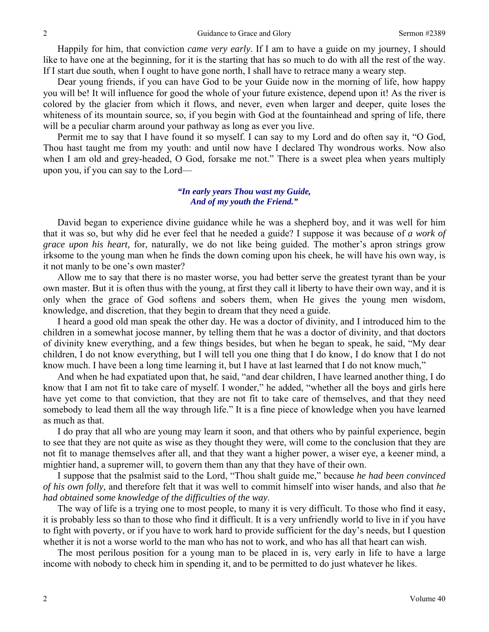Happily for him, that conviction *came very early*. If I am to have a guide on my journey, I should like to have one at the beginning, for it is the starting that has so much to do with all the rest of the way. If I start due south, when I ought to have gone north, I shall have to retrace many a weary step.

Dear young friends, if you can have God to be your Guide now in the morning of life, how happy you will be! It will influence for good the whole of your future existence, depend upon it! As the river is colored by the glacier from which it flows, and never, even when larger and deeper, quite loses the whiteness of its mountain source, so, if you begin with God at the fountainhead and spring of life, there will be a peculiar charm around your pathway as long as ever you live.

Permit me to say that I have found it so myself. I can say to my Lord and do often say it, "O God, Thou hast taught me from my youth: and until now have I declared Thy wondrous works. Now also when I am old and grey-headed, O God, forsake me not." There is a sweet plea when years multiply upon you, if you can say to the Lord—

### *"In early years Thou wast my Guide, And of my youth the Friend."*

David began to experience divine guidance while he was a shepherd boy, and it was well for him that it was so, but why did he ever feel that he needed a guide? I suppose it was because of *a work of grace upon his heart,* for, naturally, we do not like being guided. The mother's apron strings grow irksome to the young man when he finds the down coming upon his cheek, he will have his own way, is it not manly to be one's own master?

Allow me to say that there is no master worse, you had better serve the greatest tyrant than be your own master. But it is often thus with the young, at first they call it liberty to have their own way, and it is only when the grace of God softens and sobers them, when He gives the young men wisdom, knowledge, and discretion, that they begin to dream that they need a guide.

I heard a good old man speak the other day. He was a doctor of divinity, and I introduced him to the children in a somewhat jocose manner, by telling them that he was a doctor of divinity, and that doctors of divinity knew everything, and a few things besides, but when he began to speak, he said, "My dear children, I do not know everything, but I will tell you one thing that I do know, I do know that I do not know much. I have been a long time learning it, but I have at last learned that I do not know much,"

And when he had expatiated upon that, he said, "and dear children, I have learned another thing, I do know that I am not fit to take care of myself. I wonder," he added, "whether all the boys and girls here have yet come to that conviction, that they are not fit to take care of themselves, and that they need somebody to lead them all the way through life." It is a fine piece of knowledge when you have learned as much as that.

I do pray that all who are young may learn it soon, and that others who by painful experience, begin to see that they are not quite as wise as they thought they were, will come to the conclusion that they are not fit to manage themselves after all, and that they want a higher power, a wiser eye, a keener mind, a mightier hand, a supremer will, to govern them than any that they have of their own.

I suppose that the psalmist said to the Lord, "Thou shalt guide me," because *he had been convinced of his own folly,* and therefore felt that it was well to commit himself into wiser hands, and also that *he had obtained some knowledge of the difficulties of the way*.

The way of life is a trying one to most people, to many it is very difficult. To those who find it easy, it is probably less so than to those who find it difficult. It is a very unfriendly world to live in if you have to fight with poverty, or if you have to work hard to provide sufficient for the day's needs, but I question whether it is not a worse world to the man who has not to work, and who has all that heart can wish.

The most perilous position for a young man to be placed in is, very early in life to have a large income with nobody to check him in spending it, and to be permitted to do just whatever he likes.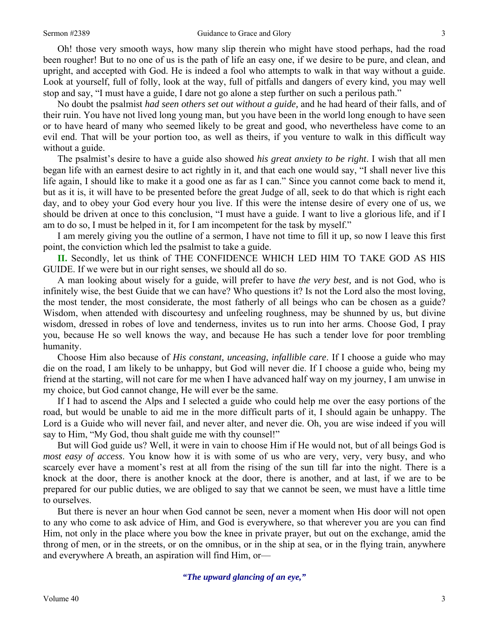Oh! those very smooth ways, how many slip therein who might have stood perhaps, had the road been rougher! But to no one of us is the path of life an easy one, if we desire to be pure, and clean, and upright, and accepted with God. He is indeed a fool who attempts to walk in that way without a guide. Look at yourself, full of folly, look at the way, full of pitfalls and dangers of every kind, you may well stop and say, "I must have a guide, I dare not go alone a step further on such a perilous path."

No doubt the psalmist *had seen others set out without a guide,* and he had heard of their falls, and of their ruin. You have not lived long young man, but you have been in the world long enough to have seen or to have heard of many who seemed likely to be great and good, who nevertheless have come to an evil end. That will be your portion too, as well as theirs, if you venture to walk in this difficult way without a guide.

The psalmist's desire to have a guide also showed *his great anxiety to be right*. I wish that all men began life with an earnest desire to act rightly in it, and that each one would say, "I shall never live this life again, I should like to make it a good one as far as I can." Since you cannot come back to mend it, but as it is, it will have to be presented before the great Judge of all, seek to do that which is right each day, and to obey your God every hour you live. If this were the intense desire of every one of us, we should be driven at once to this conclusion, "I must have a guide. I want to live a glorious life, and if I am to do so, I must be helped in it, for I am incompetent for the task by myself."

I am merely giving you the outline of a sermon, I have not time to fill it up, so now I leave this first point, the conviction which led the psalmist to take a guide.

**II.** Secondly, let us think of THE CONFIDENCE WHICH LED HIM TO TAKE GOD AS HIS GUIDE. If we were but in our right senses, we should all do so.

A man looking about wisely for a guide, will prefer to have *the very best,* and is not God, who is infinitely wise, the best Guide that we can have? Who questions it? Is not the Lord also the most loving, the most tender, the most considerate, the most fatherly of all beings who can be chosen as a guide? Wisdom, when attended with discourtesy and unfeeling roughness, may be shunned by us, but divine wisdom, dressed in robes of love and tenderness, invites us to run into her arms. Choose God, I pray you, because He so well knows the way, and because He has such a tender love for poor trembling humanity.

Choose Him also because of *His constant, unceasing, infallible care*. If I choose a guide who may die on the road, I am likely to be unhappy, but God will never die. If I choose a guide who, being my friend at the starting, will not care for me when I have advanced half way on my journey, I am unwise in my choice, but God cannot change, He will ever be the same.

If I had to ascend the Alps and I selected a guide who could help me over the easy portions of the road, but would be unable to aid me in the more difficult parts of it, I should again be unhappy. The Lord is a Guide who will never fail, and never alter, and never die. Oh, you are wise indeed if you will say to Him, "My God, thou shalt guide me with thy counsel!"

But will God guide us? Well, it were in vain to choose Him if He would not, but of all beings God is *most easy of access*. You know how it is with some of us who are very, very, very busy, and who scarcely ever have a moment's rest at all from the rising of the sun till far into the night. There is a knock at the door, there is another knock at the door, there is another, and at last, if we are to be prepared for our public duties, we are obliged to say that we cannot be seen, we must have a little time to ourselves.

But there is never an hour when God cannot be seen, never a moment when His door will not open to any who come to ask advice of Him, and God is everywhere, so that wherever you are you can find Him, not only in the place where you bow the knee in private prayer, but out on the exchange, amid the throng of men, or in the streets, or on the omnibus, or in the ship at sea, or in the flying train, anywhere and everywhere A breath, an aspiration will find Him, or—

*"The upward glancing of an eye,"*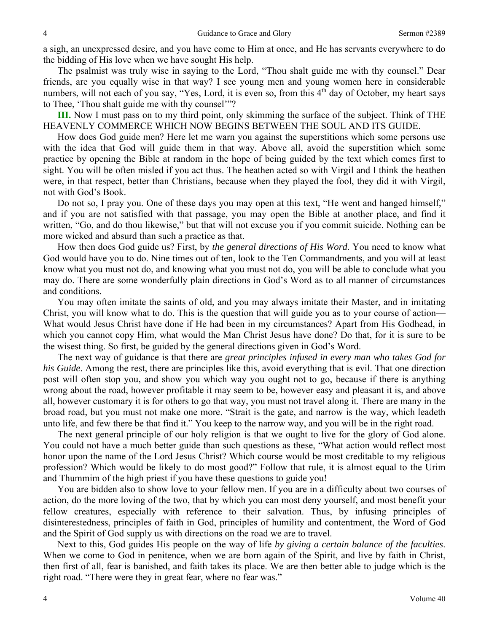a sigh, an unexpressed desire, and you have come to Him at once, and He has servants everywhere to do the bidding of His love when we have sought His help.

The psalmist was truly wise in saying to the Lord, "Thou shalt guide me with thy counsel." Dear friends, are you equally wise in that way? I see young men and young women here in considerable numbers, will not each of you say, "Yes, Lord, it is even so, from this 4<sup>th</sup> day of October, my heart says to Thee, 'Thou shalt guide me with thy counsel'"?

**III.** Now I must pass on to my third point, only skimming the surface of the subject. Think of THE HEAVENLY COMMERCE WHICH NOW BEGINS BETWEEN THE SOUL AND ITS GUIDE.

How does God guide men? Here let me warn you against the superstitions which some persons use with the idea that God will guide them in that way. Above all, avoid the superstition which some practice by opening the Bible at random in the hope of being guided by the text which comes first to sight. You will be often misled if you act thus. The heathen acted so with Virgil and I think the heathen were, in that respect, better than Christians, because when they played the fool, they did it with Virgil, not with God's Book.

Do not so, I pray you. One of these days you may open at this text, "He went and hanged himself," and if you are not satisfied with that passage, you may open the Bible at another place, and find it written, "Go, and do thou likewise," but that will not excuse you if you commit suicide. Nothing can be more wicked and absurd than such a practice as that.

How then does God guide us? First, by *the general directions of His Word*. You need to know what God would have you to do. Nine times out of ten, look to the Ten Commandments, and you will at least know what you must not do, and knowing what you must not do, you will be able to conclude what you may do. There are some wonderfully plain directions in God's Word as to all manner of circumstances and conditions.

You may often imitate the saints of old, and you may always imitate their Master, and in imitating Christ, you will know what to do. This is the question that will guide you as to your course of action— What would Jesus Christ have done if He had been in my circumstances? Apart from His Godhead, in which you cannot copy Him, what would the Man Christ Jesus have done? Do that, for it is sure to be the wisest thing. So first, be guided by the general directions given in God's Word.

The next way of guidance is that there are *great principles infused in every man who takes God for his Guide*. Among the rest, there are principles like this, avoid everything that is evil. That one direction post will often stop you, and show you which way you ought not to go, because if there is anything wrong about the road, however profitable it may seem to be, however easy and pleasant it is, and above all, however customary it is for others to go that way, you must not travel along it. There are many in the broad road, but you must not make one more. "Strait is the gate, and narrow is the way, which leadeth unto life, and few there be that find it." You keep to the narrow way, and you will be in the right road.

The next general principle of our holy religion is that we ought to live for the glory of God alone. You could not have a much better guide than such questions as these, "What action would reflect most honor upon the name of the Lord Jesus Christ? Which course would be most creditable to my religious profession? Which would be likely to do most good?" Follow that rule, it is almost equal to the Urim and Thummim of the high priest if you have these questions to guide you!

You are bidden also to show love to your fellow men. If you are in a difficulty about two courses of action, do the more loving of the two, that by which you can most deny yourself, and most benefit your fellow creatures, especially with reference to their salvation. Thus, by infusing principles of disinterestedness, principles of faith in God, principles of humility and contentment, the Word of God and the Spirit of God supply us with directions on the road we are to travel.

Next to this, God guides His people on the way of life *by giving a certain balance of the faculties*. When we come to God in penitence, when we are born again of the Spirit, and live by faith in Christ, then first of all, fear is banished, and faith takes its place. We are then better able to judge which is the right road. "There were they in great fear, where no fear was."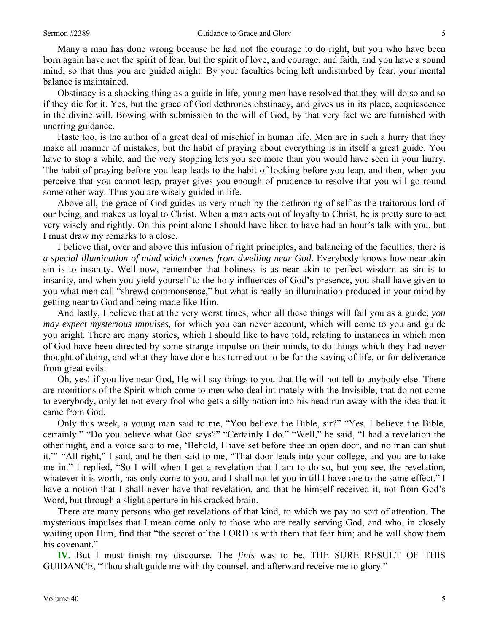Many a man has done wrong because he had not the courage to do right, but you who have been born again have not the spirit of fear, but the spirit of love, and courage, and faith, and you have a sound mind, so that thus you are guided aright. By your faculties being left undisturbed by fear, your mental balance is maintained.

Obstinacy is a shocking thing as a guide in life, young men have resolved that they will do so and so if they die for it. Yes, but the grace of God dethrones obstinacy, and gives us in its place, acquiescence in the divine will. Bowing with submission to the will of God, by that very fact we are furnished with unerring guidance.

Haste too, is the author of a great deal of mischief in human life. Men are in such a hurry that they make all manner of mistakes, but the habit of praying about everything is in itself a great guide. You have to stop a while, and the very stopping lets you see more than you would have seen in your hurry. The habit of praying before you leap leads to the habit of looking before you leap, and then, when you perceive that you cannot leap, prayer gives you enough of prudence to resolve that you will go round some other way. Thus you are wisely guided in life.

Above all, the grace of God guides us very much by the dethroning of self as the traitorous lord of our being, and makes us loyal to Christ. When a man acts out of loyalty to Christ, he is pretty sure to act very wisely and rightly. On this point alone I should have liked to have had an hour's talk with you, but I must draw my remarks to a close.

I believe that, over and above this infusion of right principles, and balancing of the faculties, there is *a special illumination of mind which comes from dwelling near God*. Everybody knows how near akin sin is to insanity. Well now, remember that holiness is as near akin to perfect wisdom as sin is to insanity, and when you yield yourself to the holy influences of God's presence, you shall have given to you what men call "shrewd commonsense," but what is really an illumination produced in your mind by getting near to God and being made like Him.

And lastly, I believe that at the very worst times, when all these things will fail you as a guide, *you may expect mysterious impulses,* for which you can never account, which will come to you and guide you aright. There are many stories, which I should like to have told, relating to instances in which men of God have been directed by some strange impulse on their minds, to do things which they had never thought of doing, and what they have done has turned out to be for the saving of life, or for deliverance from great evils.

Oh, yes! if you live near God, He will say things to you that He will not tell to anybody else. There are monitions of the Spirit which come to men who deal intimately with the Invisible, that do not come to everybody, only let not every fool who gets a silly notion into his head run away with the idea that it came from God.

Only this week, a young man said to me, "You believe the Bible, sir?" "Yes, I believe the Bible, certainly." "Do you believe what God says?" "Certainly I do." "Well," he said, "I had a revelation the other night, and a voice said to me, 'Behold, I have set before thee an open door, and no man can shut it."' "All right," I said, and he then said to me, "That door leads into your college, and you are to take me in." I replied, "So I will when I get a revelation that I am to do so, but you see, the revelation, whatever it is worth, has only come to you, and I shall not let you in till I have one to the same effect." I have a notion that I shall never have that revelation, and that he himself received it, not from God's Word, but through a slight aperture in his cracked brain.

There are many persons who get revelations of that kind, to which we pay no sort of attention. The mysterious impulses that I mean come only to those who are really serving God, and who, in closely waiting upon Him, find that "the secret of the LORD is with them that fear him; and he will show them his covenant."

**IV.** But I must finish my discourse. The *finis* was to be, THE SURE RESULT OF THIS GUIDANCE, "Thou shalt guide me with thy counsel, and afterward receive me to glory."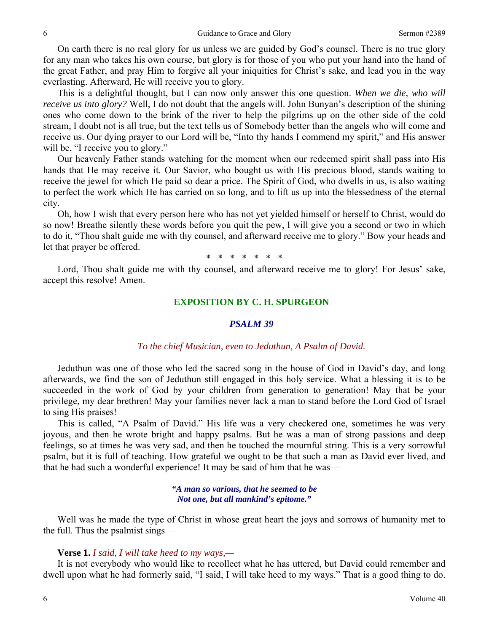On earth there is no real glory for us unless we are guided by God's counsel. There is no true glory for any man who takes his own course, but glory is for those of you who put your hand into the hand of the great Father, and pray Him to forgive all your iniquities for Christ's sake, and lead you in the way everlasting. Afterward, He will receive you to glory.

This is a delightful thought, but I can now only answer this one question. *When we die, who will receive us into glory?* Well, I do not doubt that the angels will. John Bunyan's description of the shining ones who come down to the brink of the river to help the pilgrims up on the other side of the cold stream, I doubt not is all true, but the text tells us of Somebody better than the angels who will come and receive us. Our dying prayer to our Lord will be, "Into thy hands I commend my spirit," and His answer will be, "I receive you to glory."

Our heavenly Father stands watching for the moment when our redeemed spirit shall pass into His hands that He may receive it. Our Savior, who bought us with His precious blood, stands waiting to receive the jewel for which He paid so dear a price. The Spirit of God, who dwells in us, is also waiting to perfect the work which He has carried on so long, and to lift us up into the blessedness of the eternal city.

Oh, how I wish that every person here who has not yet yielded himself or herself to Christ, would do so now! Breathe silently these words before you quit the pew, I will give you a second or two in which to do it, "Thou shalt guide me with thy counsel, and afterward receive me to glory." Bow your heads and let that prayer be offered.

\* \* \* \* \* \* \*

Lord, Thou shalt guide me with thy counsel, and afterward receive me to glory! For Jesus' sake, accept this resolve! Amen.

# **EXPOSITION BY C. H. SPURGEON**

#### *PSALM 39*

#### *To the chief Musician, even to Jeduthun, A Psalm of David.*

Jeduthun was one of those who led the sacred song in the house of God in David's day, and long afterwards, we find the son of Jeduthun still engaged in this holy service. What a blessing it is to be succeeded in the work of God by your children from generation to generation! May that be your privilege, my dear brethren! May your families never lack a man to stand before the Lord God of Israel to sing His praises!

This is called, "A Psalm of David." His life was a very checkered one, sometimes he was very joyous, and then he wrote bright and happy psalms. But he was a man of strong passions and deep feelings, so at times he was very sad, and then he touched the mournful string. This is a very sorrowful psalm, but it is full of teaching. How grateful we ought to be that such a man as David ever lived, and that he had such a wonderful experience! It may be said of him that he was—

### *"A man so various, that he seemed to be Not one, but all mankind's epitome."*

Well was he made the type of Christ in whose great heart the joys and sorrows of humanity met to the full. Thus the psalmist sings—

### **Verse 1.** *I said, I will take heed to my ways,—*

It is not everybody who would like to recollect what he has uttered, but David could remember and dwell upon what he had formerly said, "I said, I will take heed to my ways." That is a good thing to do.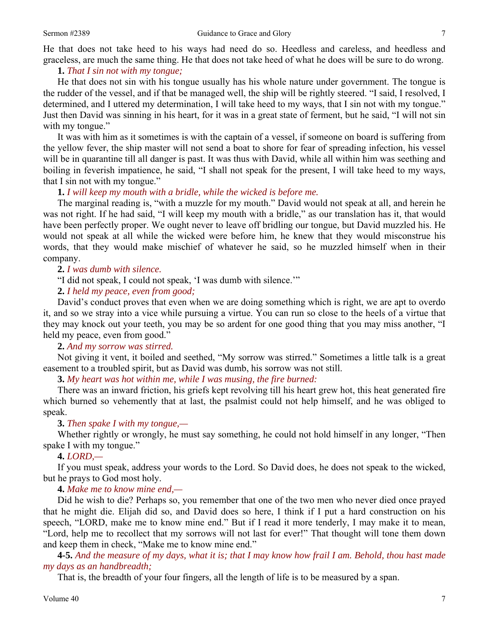He that does not take heed to his ways had need do so. Heedless and careless, and heedless and graceless, are much the same thing. He that does not take heed of what he does will be sure to do wrong.

### **1.** *That I sin not with my tongue;*

He that does not sin with his tongue usually has his whole nature under government. The tongue is the rudder of the vessel, and if that be managed well, the ship will be rightly steered. "I said, I resolved, I determined, and I uttered my determination, I will take heed to my ways, that I sin not with my tongue." Just then David was sinning in his heart, for it was in a great state of ferment, but he said, "I will not sin with my tongue."

It was with him as it sometimes is with the captain of a vessel, if someone on board is suffering from the yellow fever, the ship master will not send a boat to shore for fear of spreading infection, his vessel will be in quarantine till all danger is past. It was thus with David, while all within him was seething and boiling in feverish impatience, he said, "I shall not speak for the present, I will take heed to my ways, that I sin not with my tongue."

# **1.** *I will keep my mouth with a bridle, while the wicked is before me.*

The marginal reading is, "with a muzzle for my mouth." David would not speak at all, and herein he was not right. If he had said, "I will keep my mouth with a bridle," as our translation has it, that would have been perfectly proper. We ought never to leave off bridling our tongue, but David muzzled his. He would not speak at all while the wicked were before him, he knew that they would misconstrue his words, that they would make mischief of whatever he said, so he muzzled himself when in their company.

# **2.** *I was dumb with silence.*

"I did not speak, I could not speak, 'I was dumb with silence.'"

# **2.** *I held my peace, even from good;*

David's conduct proves that even when we are doing something which is right, we are apt to overdo it, and so we stray into a vice while pursuing a virtue. You can run so close to the heels of a virtue that they may knock out your teeth, you may be so ardent for one good thing that you may miss another, "I held my peace, even from good."

# **2.** *And my sorrow was stirred.*

Not giving it vent, it boiled and seethed, "My sorrow was stirred." Sometimes a little talk is a great easement to a troubled spirit, but as David was dumb, his sorrow was not still.

**3.** *My heart was hot within me, while I was musing, the fire burned:* 

There was an inward friction, his griefs kept revolving till his heart grew hot, this heat generated fire which burned so vehemently that at last, the psalmist could not help himself, and he was obliged to speak.

# **3.** *Then spake I with my tongue,—*

Whether rightly or wrongly, he must say something, he could not hold himself in any longer, "Then spake I with my tongue."

# **4.** *LORD,—*

If you must speak, address your words to the Lord. So David does, he does not speak to the wicked, but he prays to God most holy.

# **4.** *Make me to know mine end,—*

Did he wish to die? Perhaps so, you remember that one of the two men who never died once prayed that he might die. Elijah did so, and David does so here, I think if I put a hard construction on his speech, "LORD, make me to know mine end." But if I read it more tenderly, I may make it to mean, "Lord, help me to recollect that my sorrows will not last for ever!" That thought will tone them down and keep them in check, "Make me to know mine end."

**4-5.** *And the measure of my days, what it is; that I may know how frail I am. Behold, thou hast made my days as an handbreadth;* 

That is, the breadth of your four fingers, all the length of life is to be measured by a span.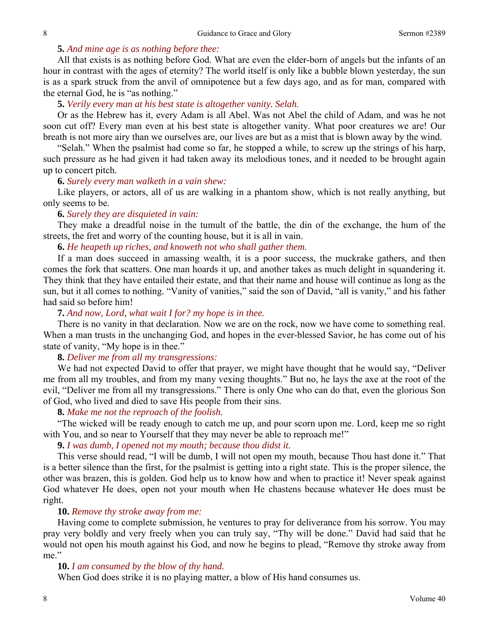# **5.** *And mine age is as nothing before thee:*

All that exists is as nothing before God. What are even the elder-born of angels but the infants of an hour in contrast with the ages of eternity? The world itself is only like a bubble blown yesterday, the sun is as a spark struck from the anvil of omnipotence but a few days ago, and as for man, compared with the eternal God, he is "as nothing."

### **5.** *Verily every man at his best state is altogether vanity. Selah.*

Or as the Hebrew has it, every Adam is all Abel. Was not Abel the child of Adam, and was he not soon cut off? Every man even at his best state is altogether vanity. What poor creatures we are! Our breath is not more airy than we ourselves are, our lives are but as a mist that is blown away by the wind.

"Selah." When the psalmist had come so far, he stopped a while, to screw up the strings of his harp, such pressure as he had given it had taken away its melodious tones, and it needed to be brought again up to concert pitch.

### **6.** *Surely every man walketh in a vain shew:*

Like players, or actors, all of us are walking in a phantom show, which is not really anything, but only seems to be.

# **6.** *Surely they are disquieted in vain:*

They make a dreadful noise in the tumult of the battle, the din of the exchange, the hum of the streets, the fret and worry of the counting house, but it is all in vain.

**6.** *He heapeth up riches, and knoweth not who shall gather them.* 

If a man does succeed in amassing wealth, it is a poor success, the muckrake gathers, and then comes the fork that scatters. One man hoards it up, and another takes as much delight in squandering it. They think that they have entailed their estate, and that their name and house will continue as long as the sun, but it all comes to nothing. "Vanity of vanities," said the son of David, "all is vanity," and his father had said so before him!

# **7.** *And now, Lord, what wait I for? my hope is in thee.*

There is no vanity in that declaration. Now we are on the rock, now we have come to something real. When a man trusts in the unchanging God, and hopes in the ever-blessed Savior, he has come out of his state of vanity, "My hope is in thee."

# **8.** *Deliver me from all my transgressions:*

We had not expected David to offer that prayer, we might have thought that he would say, "Deliver me from all my troubles, and from my many vexing thoughts." But no, he lays the axe at the root of the evil, "Deliver me from all my transgressions." There is only One who can do that, even the glorious Son of God, who lived and died to save His people from their sins.

### **8.** *Make me not the reproach of the foolish.*

"The wicked will be ready enough to catch me up, and pour scorn upon me. Lord, keep me so right with You, and so near to Yourself that they may never be able to reproach me!"

# **9.** *I was dumb, I opened not my mouth; because thou didst it.*

This verse should read, "I will be dumb, I will not open my mouth, because Thou hast done it." That is a better silence than the first, for the psalmist is getting into a right state. This is the proper silence, the other was brazen, this is golden. God help us to know how and when to practice it! Never speak against God whatever He does, open not your mouth when He chastens because whatever He does must be right.

### **10.** *Remove thy stroke away from me:*

Having come to complete submission, he ventures to pray for deliverance from his sorrow. You may pray very boldly and very freely when you can truly say, "Thy will be done." David had said that he would not open his mouth against his God, and now he begins to plead, "Remove thy stroke away from me."

### **10.** *I am consumed by the blow of thy hand.*

When God does strike it is no playing matter, a blow of His hand consumes us.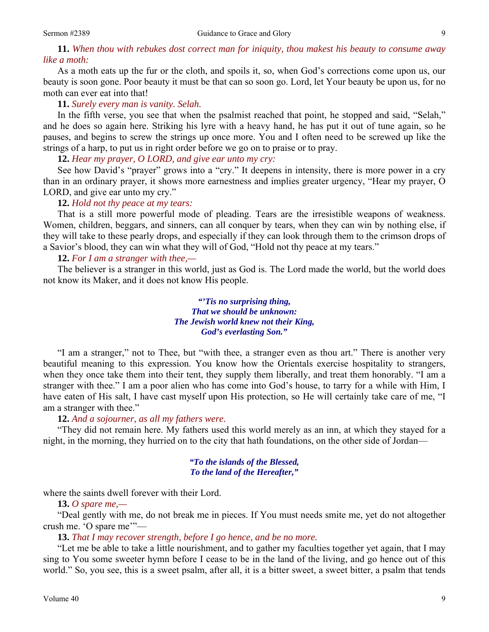**11.** *When thou with rebukes dost correct man for iniquity, thou makest his beauty to consume away like a moth:* 

As a moth eats up the fur or the cloth, and spoils it, so, when God's corrections come upon us, our beauty is soon gone. Poor beauty it must be that can so soon go. Lord, let Your beauty be upon us, for no moth can ever eat into that!

### **11.** *Surely every man is vanity. Selah.*

In the fifth verse, you see that when the psalmist reached that point, he stopped and said, "Selah," and he does so again here. Striking his lyre with a heavy hand, he has put it out of tune again, so he pauses, and begins to screw the strings up once more. You and I often need to be screwed up like the strings of a harp, to put us in right order before we go on to praise or to pray.

**12.** *Hear my prayer, O LORD, and give ear unto my cry:* 

See how David's "prayer" grows into a "cry." It deepens in intensity, there is more power in a cry than in an ordinary prayer, it shows more earnestness and implies greater urgency, "Hear my prayer, O LORD, and give ear unto my cry."

### **12.** *Hold not thy peace at my tears:*

That is a still more powerful mode of pleading. Tears are the irresistible weapons of weakness. Women, children, beggars, and sinners, can all conquer by tears, when they can win by nothing else, if they will take to these pearly drops, and especially if they can look through them to the crimson drops of a Savior's blood, they can win what they will of God, "Hold not thy peace at my tears."

# **12.** *For I am a stranger with thee,—*

The believer is a stranger in this world, just as God is. The Lord made the world, but the world does not know its Maker, and it does not know His people.

> *"'Tis no surprising thing, That we should be unknown: The Jewish world knew not their King, God's everlasting Son."*

"I am a stranger," not to Thee, but "with thee, a stranger even as thou art." There is another very beautiful meaning to this expression. You know how the Orientals exercise hospitality to strangers, when they once take them into their tent, they supply them liberally, and treat them honorably. "I am a stranger with thee." I am a poor alien who has come into God's house, to tarry for a while with Him, I have eaten of His salt, I have cast myself upon His protection, so He will certainly take care of me, "I am a stranger with thee."

# **12.** *And a sojourner, as all my fathers were.*

"They did not remain here. My fathers used this world merely as an inn, at which they stayed for a night, in the morning, they hurried on to the city that hath foundations, on the other side of Jordan—

### *"To the islands of the Blessed, To the land of the Hereafter,"*

where the saints dwell forever with their Lord.

**13.** *O spare me,—* 

"Deal gently with me, do not break me in pieces. If You must needs smite me, yet do not altogether crush me. 'O spare me'"—

**13.** *That I may recover strength, before I go hence, and be no more.* 

"Let me be able to take a little nourishment, and to gather my faculties together yet again, that I may sing to You some sweeter hymn before I cease to be in the land of the living, and go hence out of this world." So, you see, this is a sweet psalm, after all, it is a bitter sweet, a sweet bitter, a psalm that tends